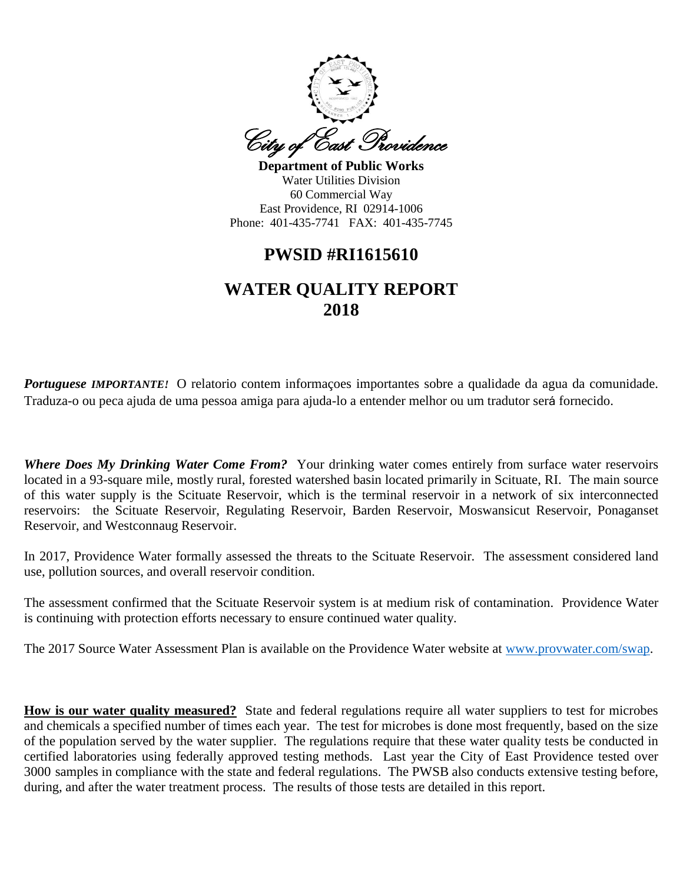

**Department of Public Works** Water Utilities Division 60 Commercial Way East Providence, RI 02914-1006 Phone: 401-435-7741 FAX: 401-435-7745

# **PWSID #RI1615610**

# **WATER QUALITY REPORT 2018**

*Portuguese IMPORTANTE!* O relatorio contem informaçoes importantes sobre a qualidade da agua da comunidade. Traduza-o ou peca ajuda de uma pessoa amiga para ajuda-lo a entender melhor ou um tradutor será fornecido.

*Where Does My Drinking Water Come From?* Your drinking water comes entirely from surface water reservoirs located in a 93-square mile, mostly rural, forested watershed basin located primarily in Scituate, RI. The main source of this water supply is the Scituate Reservoir, which is the terminal reservoir in a network of six interconnected reservoirs: the Scituate Reservoir, Regulating Reservoir, Barden Reservoir, Moswansicut Reservoir, Ponaganset Reservoir, and Westconnaug Reservoir.

In 2017, Providence Water formally assessed the threats to the Scituate Reservoir. The assessment considered land use, pollution sources, and overall reservoir condition.

The assessment confirmed that the Scituate Reservoir system is at medium risk of contamination. Providence Water is continuing with protection efforts necessary to ensure continued water quality.

The 2017 Source Water Assessment Plan is available on the Providence Water website at [www.provwater.com/swap.](http://www.provwater.com/swap)

**How is our water quality measured?** State and federal regulations require all water suppliers to test for microbes and chemicals a specified number of times each year. The test for microbes is done most frequently, based on the size of the population served by the water supplier. The regulations require that these water quality tests be conducted in certified laboratories using federally approved testing methods. Last year the City of East Providence tested over 3000 samples in compliance with the state and federal regulations. The PWSB also conducts extensive testing before, during, and after the water treatment process. The results of those tests are detailed in this report.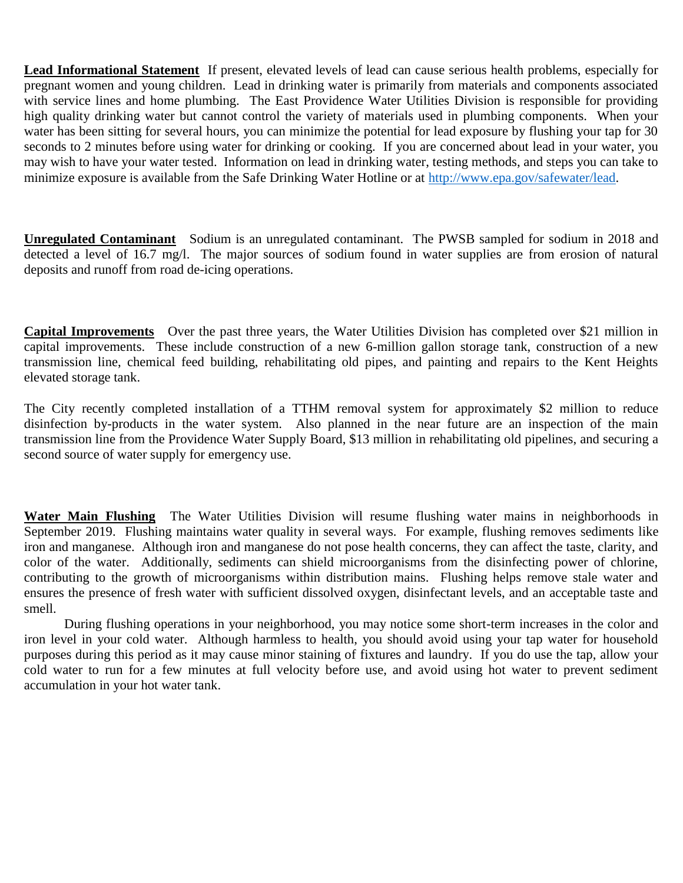**Lead Informational Statement** If present, elevated levels of lead can cause serious health problems, especially for pregnant women and young children. Lead in drinking water is primarily from materials and components associated with service lines and home plumbing. The East Providence Water Utilities Division is responsible for providing high quality drinking water but cannot control the variety of materials used in plumbing components. When your water has been sitting for several hours, you can minimize the potential for lead exposure by flushing your tap for 30 seconds to 2 minutes before using water for drinking or cooking. If you are concerned about lead in your water, you may wish to have your water tested. Information on lead in drinking water, testing methods, and steps you can take to minimize exposure is available from the Safe Drinking Water Hotline or at [http://www.epa.gov/safewater/lead.](http://www.epa.gov/safewater/lead)

**Unregulated Contaminant** Sodium is an unregulated contaminant. The PWSB sampled for sodium in 2018 and detected a level of 16.7 mg/l. The major sources of sodium found in water supplies are from erosion of natural deposits and runoff from road de-icing operations.

**Capital Improvements** Over the past three years, the Water Utilities Division has completed over \$21 million in capital improvements. These include construction of a new 6-million gallon storage tank, construction of a new transmission line, chemical feed building, rehabilitating old pipes, and painting and repairs to the Kent Heights elevated storage tank.

The City recently completed installation of a TTHM removal system for approximately \$2 million to reduce disinfection by-products in the water system. Also planned in the near future are an inspection of the main transmission line from the Providence Water Supply Board, \$13 million in rehabilitating old pipelines, and securing a second source of water supply for emergency use.

**Water Main Flushing** The Water Utilities Division will resume flushing water mains in neighborhoods in September 2019. Flushing maintains water quality in several ways. For example, flushing removes sediments like iron and manganese. Although iron and manganese do not pose health concerns, they can affect the taste, clarity, and color of the water. Additionally, sediments can shield microorganisms from the disinfecting power of chlorine, contributing to the growth of microorganisms within distribution mains. Flushing helps remove stale water and ensures the presence of fresh water with sufficient dissolved oxygen, disinfectant levels, and an acceptable taste and smell.

During flushing operations in your neighborhood, you may notice some short-term increases in the color and iron level in your cold water. Although harmless to health, you should avoid using your tap water for household purposes during this period as it may cause minor staining of fixtures and laundry. If you do use the tap, allow your cold water to run for a few minutes at full velocity before use, and avoid using hot water to prevent sediment accumulation in your hot water tank.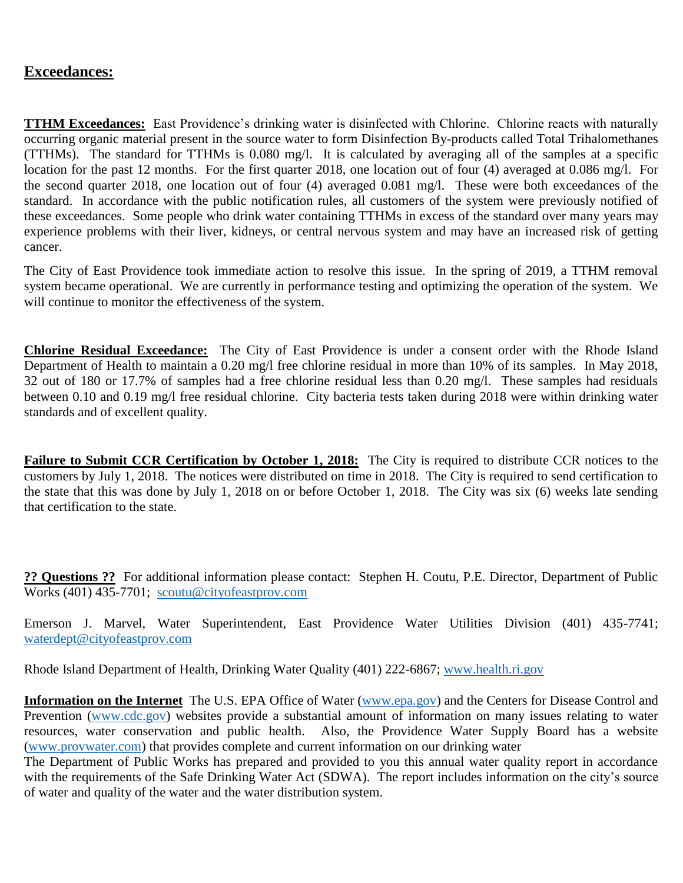# **Exceedances:**

**TTHM Exceedances:** East Providence's drinking water is disinfected with Chlorine. Chlorine reacts with naturally occurring organic material present in the source water to form Disinfection By-products called Total Trihalomethanes (TTHMs). The standard for TTHMs is 0.080 mg/l. It is calculated by averaging all of the samples at a specific location for the past 12 months. For the first quarter 2018, one location out of four (4) averaged at 0.086 mg/l. For the second quarter 2018, one location out of four (4) averaged 0.081 mg/l. These were both exceedances of the standard. In accordance with the public notification rules, all customers of the system were previously notified of these exceedances. Some people who drink water containing TTHMs in excess of the standard over many years may experience problems with their liver, kidneys, or central nervous system and may have an increased risk of getting cancer.

The City of East Providence took immediate action to resolve this issue. In the spring of 2019, a TTHM removal system became operational. We are currently in performance testing and optimizing the operation of the system. We will continue to monitor the effectiveness of the system.

**Chlorine Residual Exceedance:** The City of East Providence is under a consent order with the Rhode Island Department of Health to maintain a 0.20 mg/l free chlorine residual in more than 10% of its samples. In May 2018, 32 out of 180 or 17.7% of samples had a free chlorine residual less than 0.20 mg/l. These samples had residuals between 0.10 and 0.19 mg/l free residual chlorine. City bacteria tests taken during 2018 were within drinking water standards and of excellent quality.

**Failure to Submit CCR Certification by October 1, 2018:** The City is required to distribute CCR notices to the customers by July 1, 2018. The notices were distributed on time in 2018. The City is required to send certification to the state that this was done by July 1, 2018 on or before October 1, 2018. The City was six (6) weeks late sending that certification to the state.

**?? Questions ??** For additional information please contact: Stephen H. Coutu, P.E. Director, Department of Public Works (401) 435-7701; [scoutu@cityofeastprov.com](mailto:scoutu@cityofeastprov.com)

Emerson J. Marvel, Water Superintendent, East Providence Water Utilities Division (401) 435-7741; [waterdept@cityofeastprov.com](mailto:waterdept@cityofeastprov.com)

Rhode Island Department of Health, Drinking Water Quality (401) 222-6867; [www.health.ri.gov](http://www.health.ri.gov/)

**Information on the Internet** The U.S. EPA Office of Water [\(www.epa.gov\)](http://www.epa.gov/) and the Centers for Disease Control and Prevention [\(www.cdc.gov\)](http://www.cdc.gov/) websites provide a substantial amount of information on many issues relating to water resources, water conservation and public health. Also, the Providence Water Supply Board has a website [\(www.provwater.com\)](http://www.provwater.com/) that provides complete and current information on our drinking water

The Department of Public Works has prepared and provided to you this annual water quality report in accordance with the requirements of the Safe Drinking Water Act (SDWA). The report includes information on the city's source of water and quality of the water and the water distribution system.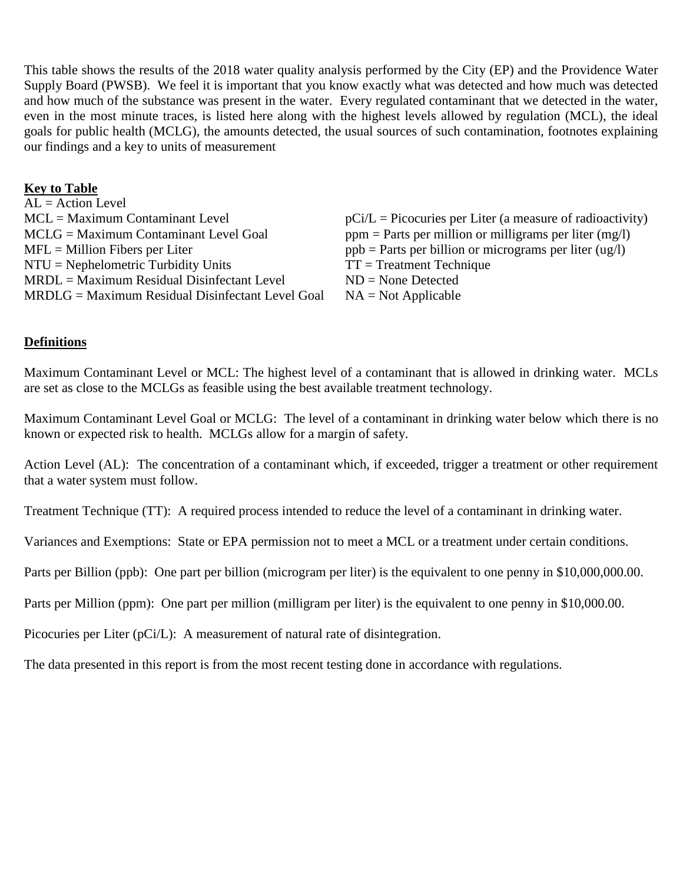This table shows the results of the 2018 water quality analysis performed by the City (EP) and the Providence Water Supply Board (PWSB). We feel it is important that you know exactly what was detected and how much was detected and how much of the substance was present in the water. Every regulated contaminant that we detected in the water, even in the most minute traces, is listed here along with the highest levels allowed by regulation (MCL), the ideal goals for public health (MCLG), the amounts detected, the usual sources of such contamination, footnotes explaining our findings and a key to units of measurement

## **Key to Table**

| $AL = Action Level$                              |                                                             |
|--------------------------------------------------|-------------------------------------------------------------|
| $MCL = Maximum$ Contaminant Level                | $pCi/L = Picocuries$ per Liter (a measure of radioactivity) |
| $MCLG = Maximum$ Contaminant Level Goal          | $ppm =$ Parts per million or milligrams per liter (mg/l)    |
| $MFL =$ Million Fibers per Liter                 | $ppb =$ Parts per billion or micrograms per liter (ug/l)    |
| $NTU = Nephelometric Turbidity Units$            | $TT = Treatment Technique$                                  |
| $MRDL = Maximum Residual Disinfectant Level$     | $ND = None$ Detected                                        |
| MRDLG = Maximum Residual Disinfectant Level Goal | $NA = Not Applicable$                                       |

#### **Definitions**

Maximum Contaminant Level or MCL: The highest level of a contaminant that is allowed in drinking water. MCLs are set as close to the MCLGs as feasible using the best available treatment technology.

Maximum Contaminant Level Goal or MCLG: The level of a contaminant in drinking water below which there is no known or expected risk to health. MCLGs allow for a margin of safety.

Action Level (AL): The concentration of a contaminant which, if exceeded, trigger a treatment or other requirement that a water system must follow.

Treatment Technique (TT): A required process intended to reduce the level of a contaminant in drinking water.

Variances and Exemptions: State or EPA permission not to meet a MCL or a treatment under certain conditions.

Parts per Billion (ppb): One part per billion (microgram per liter) is the equivalent to one penny in \$10,000,000.00.

Parts per Million (ppm): One part per million (milligram per liter) is the equivalent to one penny in \$10,000.00.

Picocuries per Liter (pCi/L): A measurement of natural rate of disintegration.

The data presented in this report is from the most recent testing done in accordance with regulations.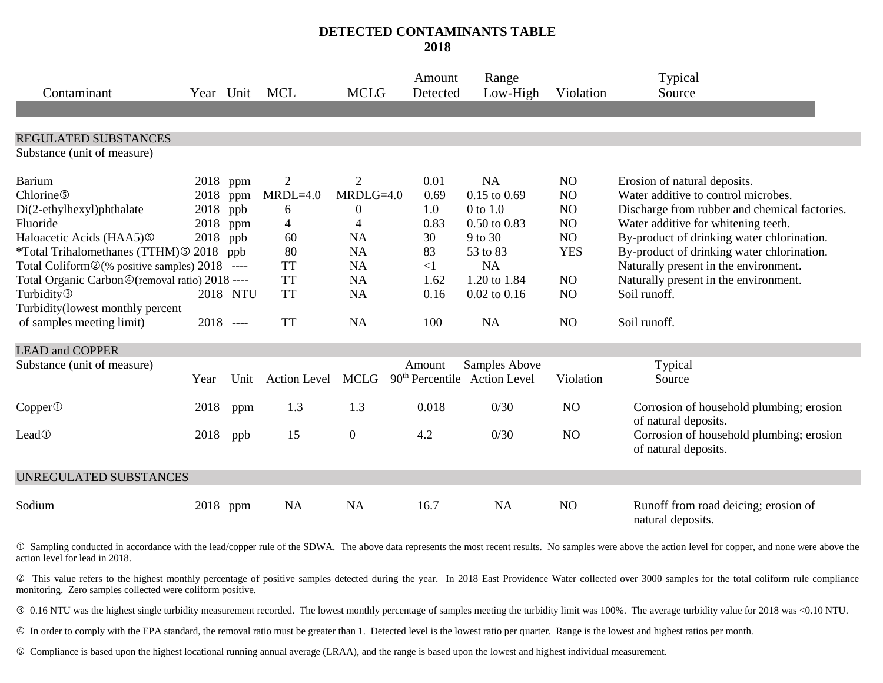### **DETECTED CONTAMINANTS TABLE 2018**

| Contaminant                                      | Year Unit   |          | <b>MCL</b>          | <b>MCLG</b>      | Amount<br>Detected | Range<br>Low-High                        | Violation      | Typical<br>Source                                                |
|--------------------------------------------------|-------------|----------|---------------------|------------------|--------------------|------------------------------------------|----------------|------------------------------------------------------------------|
| REGULATED SUBSTANCES                             |             |          |                     |                  |                    |                                          |                |                                                                  |
| Substance (unit of measure)                      |             |          |                     |                  |                    |                                          |                |                                                                  |
| <b>Barium</b>                                    | 2018 ppm    |          | $\overline{2}$      | $\overline{2}$   | 0.01               | <b>NA</b>                                | N <sub>O</sub> | Erosion of natural deposits.                                     |
| Chlorine <sup>®</sup>                            | 2018        | ppm      | $MRDL=4.0$          | $MRDLG=4.0$      | 0.69               | $0.15$ to $0.69$                         | NO             | Water additive to control microbes.                              |
| Di(2-ethylhexyl)phthalate                        | 2018        | ppb      | 6                   | $\boldsymbol{0}$ | 1.0                | 0 to 1.0                                 | NO             | Discharge from rubber and chemical factories.                    |
| Fluoride                                         | 2018        | ppm      | 4                   | 4                | 0.83               | $0.50$ to $0.83$                         | NO             | Water additive for whitening teeth.                              |
| Haloacetic Acids (HAA5) <sup>®</sup>             | 2018        | ppb      | 60                  | <b>NA</b>        | 30                 | 9 to 30                                  | NO             | By-product of drinking water chlorination.                       |
| *Total Trihalomethanes (TTHM) © 2018             |             | ppb      | 80                  | <b>NA</b>        | 83                 | 53 to 83                                 | <b>YES</b>     | By-product of drinking water chlorination.                       |
| Total Coliform 2(% positive samples) 2018 ----   |             |          | <b>TT</b>           | NA               | $<$ 1              | <b>NA</b>                                |                | Naturally present in the environment.                            |
| Total Organic Carbon ® (removal ratio) 2018 ---- |             |          | <b>TT</b>           | <b>NA</b>        | 1.62               | 1.20 to 1.84                             | NO             | Naturally present in the environment.                            |
| Turbidity <sup>3</sup>                           |             | 2018 NTU | <b>TT</b>           | <b>NA</b>        | 0.16               | $0.02$ to $0.16$                         | NO             | Soil runoff.                                                     |
| Turbidity(lowest monthly percent                 |             |          |                     |                  |                    |                                          |                |                                                                  |
| of samples meeting limit)                        | $2018$ ---- |          | <b>TT</b>           | <b>NA</b>        | 100                | <b>NA</b>                                | N <sub>O</sub> | Soil runoff.                                                     |
| <b>LEAD and COPPER</b>                           |             |          |                     |                  |                    |                                          |                |                                                                  |
| Substance (unit of measure)                      |             |          |                     |                  | Amount             | Samples Above                            |                | Typical                                                          |
|                                                  | Year        | Unit     | <b>Action Level</b> | <b>MCLG</b>      |                    | 90 <sup>th</sup> Percentile Action Level | Violation      | Source                                                           |
| Copper@                                          | 2018        | ppm      | 1.3                 | 1.3              | 0.018              | 0/30                                     | NO             | Corrosion of household plumbing; erosion<br>of natural deposits. |
| Lead <sup>①</sup>                                | 2018        | ppb      | 15                  | $\boldsymbol{0}$ | 4.2                | 0/30                                     | NO             | Corrosion of household plumbing; erosion<br>of natural deposits. |
| <b>UNREGULATED SUBSTANCES</b>                    |             |          |                     |                  |                    |                                          |                |                                                                  |
| Sodium                                           | 2018        | ppm      | <b>NA</b>           | <b>NA</b>        | 16.7               | <b>NA</b>                                | NO             | Runoff from road deicing; erosion of<br>natural deposits.        |

 Sampling conducted in accordance with the lead/copper rule of the SDWA. The above data represents the most recent results. No samples were above the action level for copper, and none were above the action level for lead in 2018.

 This value refers to the highest monthly percentage of positive samples detected during the year. In 2018 East Providence Water collected over 3000 samples for the total coliform rule compliance monitoring. Zero samples collected were coliform positive.

0.16 NTU was the highest single turbidity measurement recorded. The lowest monthly percentage of samples meeting the turbidity limit was 100%. The average turbidity value for 2018 was <0.10 NTU.

In order to comply with the EPA standard, the removal ratio must be greater than 1. Detected level is the lowest ratio per quarter. Range is the lowest and highest ratios per month.

Compliance is based upon the highest locational running annual average (LRAA), and the range is based upon the lowest and highest individual measurement.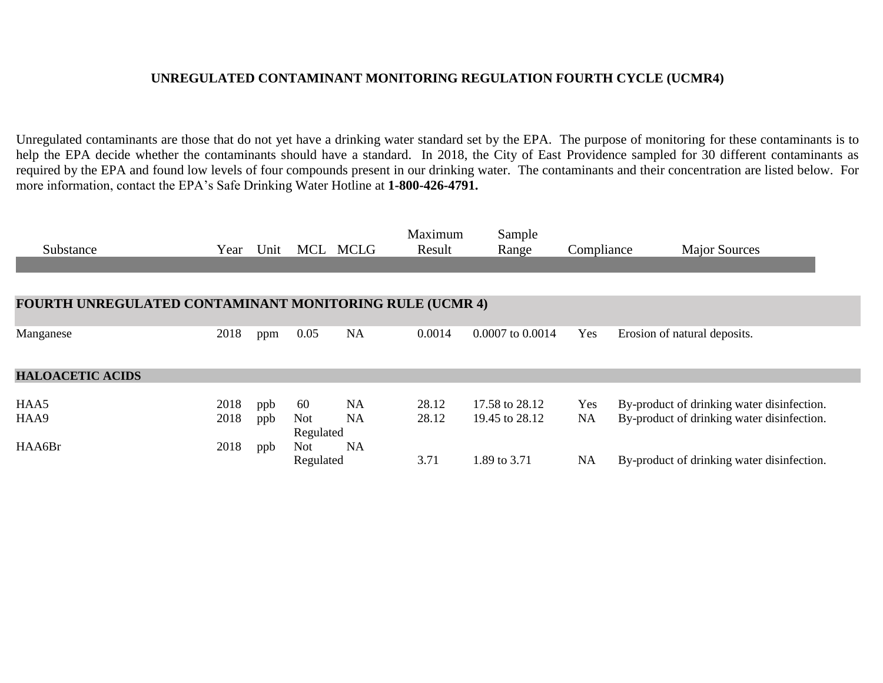### **UNREGULATED CONTAMINANT MONITORING REGULATION FOURTH CYCLE (UCMR4)**

Unregulated contaminants are those that do not yet have a drinking water standard set by the EPA. The purpose of monitoring for these contaminants is to help the EPA decide whether the contaminants should have a standard. In 2018, the City of East Providence sampled for 30 different contaminants as required by the EPA and found low levels of four compounds present in our drinking water. The contaminants and their concentration are listed below. For more information, contact the EPA's Safe Drinking Water Hotline at **1-800-426-4791.**

|                                                                |      |      |            |           | Maximum | Sample           |            |                                            |
|----------------------------------------------------------------|------|------|------------|-----------|---------|------------------|------------|--------------------------------------------|
| Substance                                                      | Year | Unit | MCL        | MCLG      | Result  | Range            | Compliance | <b>Major Sources</b>                       |
|                                                                |      |      |            |           |         |                  |            |                                            |
|                                                                |      |      |            |           |         |                  |            |                                            |
| <b>FOURTH UNREGULATED CONTAMINANT MONITORING RULE (UCMR 4)</b> |      |      |            |           |         |                  |            |                                            |
|                                                                |      |      |            |           |         |                  |            |                                            |
| Manganese                                                      | 2018 | ppm  | 0.05       | NA        | 0.0014  | 0.0007 to 0.0014 | Yes        | Erosion of natural deposits.               |
|                                                                |      |      |            |           |         |                  |            |                                            |
| <b>HALOACETIC ACIDS</b>                                        |      |      |            |           |         |                  |            |                                            |
| HAA5                                                           | 2018 | ppb  | 60         | <b>NA</b> | 28.12   | 17.58 to 28.12   | Yes        | By-product of drinking water disinfection. |
| HAA9                                                           | 2018 | ppb  | Not        | <b>NA</b> | 28.12   | 19.45 to 28.12   | NA         | By-product of drinking water disinfection. |
|                                                                |      |      | Regulated  |           |         |                  |            |                                            |
| HAA6Br                                                         | 2018 | ppb  | <b>Not</b> | NA        |         |                  |            |                                            |
|                                                                |      |      | Regulated  |           | 3.71    | 1.89 to 3.71     | <b>NA</b>  | By-product of drinking water disinfection. |